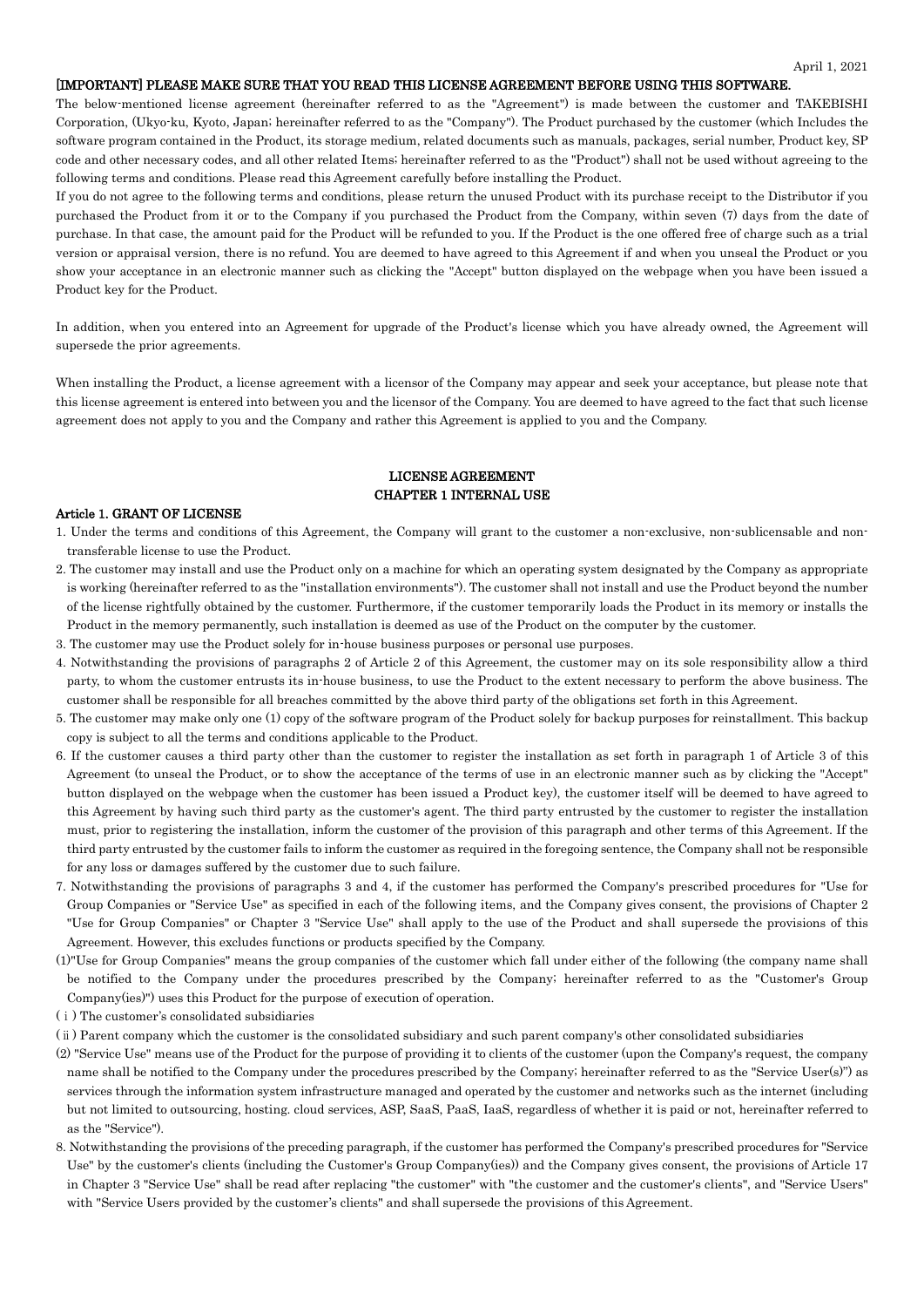#### [IMPORTANT] PLEASE MAKE SURE THAT YOU READ THIS LICENSE AGREEMENT BEFORE USING THIS SOFTWARE.

The below-mentioned license agreement (hereinafter referred to as the "Agreement") is made between the customer and TAKEBISHI Corporation, (Ukyo-ku, Kyoto, Japan; hereinafter referred to as the "Company"). The Product purchased by the customer (which Includes the software program contained in the Product, its storage medium, related documents such as manuals, packages, serial number, Product key, SP code and other necessary codes, and all other related Items; hereinafter referred to as the "Product") shall not be used without agreeing to the following terms and conditions. Please read this Agreement carefully before installing the Product.

If you do not agree to the following terms and conditions, please return the unused Product with its purchase receipt to the Distributor if you purchased the Product from it or to the Company if you purchased the Product from the Company, within seven (7) days from the date of purchase. In that case, the amount paid for the Product will be refunded to you. If the Product is the one offered free of charge such as a trial version or appraisal version, there is no refund. You are deemed to have agreed to this Agreement if and when you unseal the Product or you show your acceptance in an electronic manner such as clicking the "Accept" button displayed on the webpage when you have been issued a Product key for the Product.

In addition, when you entered into an Agreement for upgrade of the Product's license which you have already owned, the Agreement will supersede the prior agreements.

When installing the Product, a license agreement with a licensor of the Company may appear and seek your acceptance, but please note that this license agreement is entered into between you and the licensor of the Company. You are deemed to have agreed to the fact that such license agreement does not apply to you and the Company and rather this Agreement is applied to you and the Company.

# LICENSE AGREEMENT CHAPTER 1 INTERNAL USE

#### Article 1. GRANT OF LICENSE

- 1. Under the terms and conditions of this Agreement, the Company will grant to the customer a non-exclusive, non-sublicensable and nontransferable license to use the Product.
- 2. The customer may install and use the Product only on a machine for which an operating system designated by the Company as appropriate is working (hereinafter referred to as the "installation environments"). The customer shall not install and use the Product beyond the number of the license rightfully obtained by the customer. Furthermore, if the customer temporarily loads the Product in its memory or installs the Product in the memory permanently, such installation is deemed as use of the Product on the computer by the customer.
- 3. The customer may use the Product solely for in-house business purposes or personal use purposes.
- 4. Notwithstanding the provisions of paragraphs 2 of Article 2 of this Agreement, the customer may on its sole responsibility allow a third party, to whom the customer entrusts its in-house business, to use the Product to the extent necessary to perform the above business. The customer shall be responsible for all breaches committed by the above third party of the obligations set forth in this Agreement.
- 5. The customer may make only one (1) copy of the software program of the Product solely for backup purposes for reinstallment. This backup copy is subject to all the terms and conditions applicable to the Product.
- 6. If the customer causes a third party other than the customer to register the installation as set forth in paragraph 1 of Article 3 of this Agreement (to unseal the Product, or to show the acceptance of the terms of use in an electronic manner such as by clicking the "Accept" button displayed on the webpage when the customer has been issued a Product key), the customer itself will be deemed to have agreed to this Agreement by having such third party as the customer's agent. The third party entrusted by the customer to register the installation must, prior to registering the installation, inform the customer of the provision of this paragraph and other terms of this Agreement. If the third party entrusted by the customer fails to inform the customer as required in the foregoing sentence, the Company shall not be responsible for any loss or damages suffered by the customer due to such failure.
- 7. Notwithstanding the provisions of paragraphs 3 and 4, if the customer has performed the Company's prescribed procedures for "Use for Group Companies or "Service Use" as specified in each of the following items, and the Company gives consent, the provisions of Chapter 2 "Use for Group Companies" or Chapter 3 "Service Use" shall apply to the use of the Product and shall supersede the provisions of this Agreement. However, this excludes functions or products specified by the Company.
- (1)"Use for Group Companies" means the group companies of the customer which fall under either of the following (the company name shall be notified to the Company under the procedures prescribed by the Company; hereinafter referred to as the "Customer's Group Company(ies)") uses this Product for the purpose of execution of operation.
- (ⅰ) The customer's consolidated subsidiaries
- (ⅱ) Parent company which the customer is the consolidated subsidiary and such parent company's other consolidated subsidiaries
- (2) "Service Use" means use of the Product for the purpose of providing it to clients of the customer (upon the Company's request, the company name shall be notified to the Company under the procedures prescribed by the Company; hereinafter referred to as the "Service User(s)") as services through the information system infrastructure managed and operated by the customer and networks such as the internet (including but not limited to outsourcing, hosting. cloud services, ASP, SaaS, PaaS, IaaS, regardless of whether it is paid or not, hereinafter referred to as the "Service").
- 8. Notwithstanding the provisions of the preceding paragraph, if the customer has performed the Company's prescribed procedures for "Service Use" by the customer's clients (including the Customer's Group Company(ies)) and the Company gives consent, the provisions of Article 17 in Chapter 3 "Service Use" shall be read after replacing "the customer" with "the customer and the customer's clients", and "Service Users" with "Service Users provided by the customer's clients" and shall supersede the provisions of this Agreement.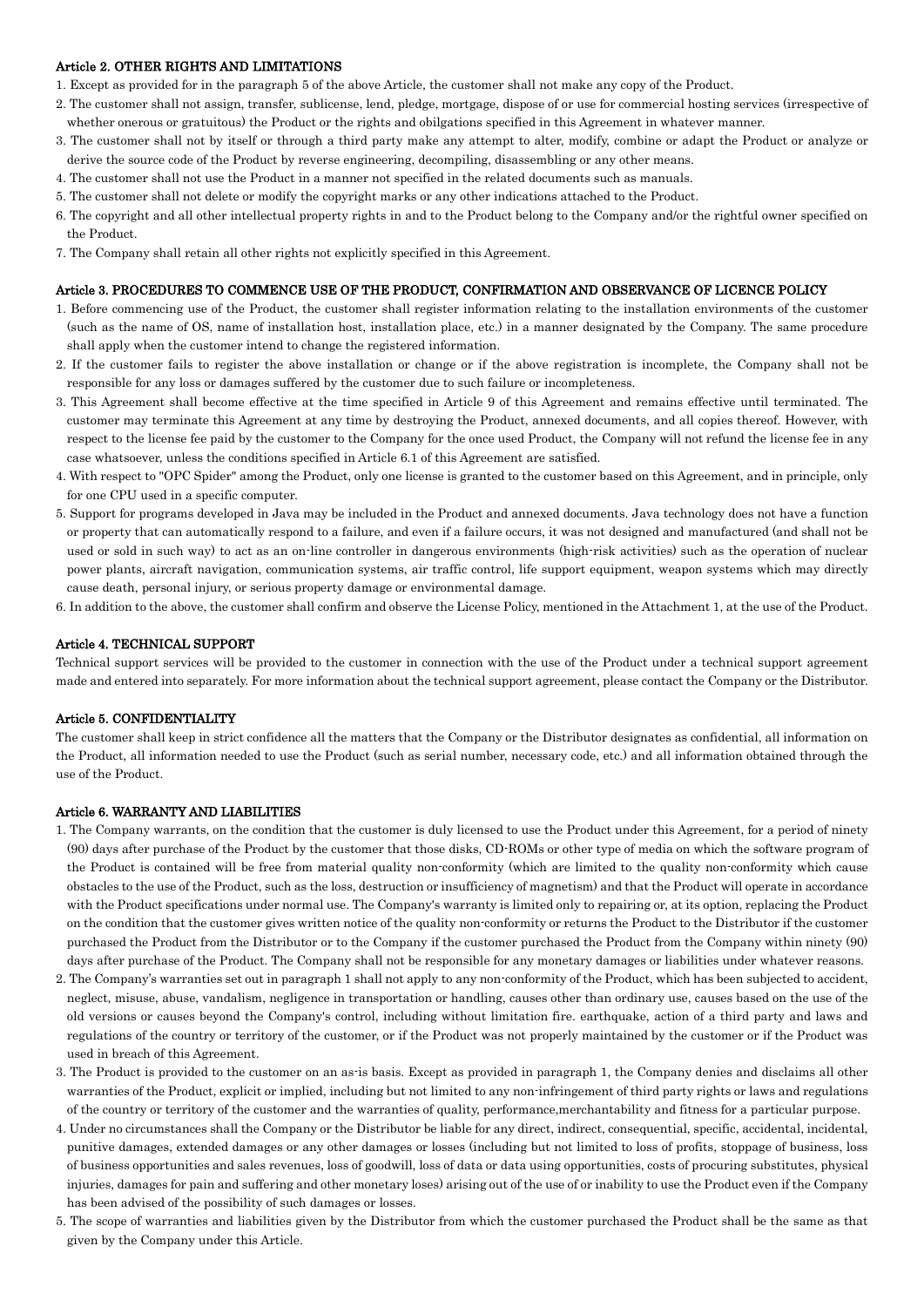## Article 2. OTHER RIGHTS AND LIMITATIONS

- 1. Except as provided for in the paragraph 5 of the above Article, the customer shall not make any copy of the Product.
- 2. The customer shall not assign, transfer, sublicense, lend, pledge, mortgage, dispose of or use for commercial hosting services (irrespective of whether onerous or gratuitous) the Product or the rights and obilgations specified in this Agreement in whatever manner.
- 3. The customer shall not by itself or through a third party make any attempt to alter, modify, combine or adapt the Product or analyze or derive the source code of the Product by reverse engineering, decompiling, disassembling or any other means.
- 4. The customer shall not use the Product in a manner not specified in the related documents such as manuals.
- 5. The customer shall not delete or modify the copyright marks or any other indications attached to the Product.
- 6. The copyright and all other intellectual property rights in and to the Product belong to the Company and/or the rightful owner specified on the Product.
- 7. The Company shall retain all other rights not explicitly specified in this Agreement.

#### Article 3. PROCEDURES TO COMMENCE USE OF THE PRODUCT, CONFIRMATION AND OBSERVANCE OF LICENCE POLICY

- 1. Before commencing use of the Product, the customer shall register information relating to the installation environments of the customer (such as the name of OS, name of installation host, installation place, etc.) in a manner designated by the Company. The same procedure shall apply when the customer intend to change the registered information.
- 2. If the customer fails to register the above installation or change or if the above registration is incomplete, the Company shall not be responsible for any loss or damages suffered by the customer due to such failure or incompleteness.
- 3. This Agreement shall become effective at the time specified in Article 9 of this Agreement and remains effective until terminated. The customer may terminate this Agreement at any time by destroying the Product, annexed documents, and all copies thereof. However, with respect to the license fee paid by the customer to the Company for the once used Product, the Company will not refund the license fee in any case whatsoever, unless the conditions specified in Article 6.1 of this Agreement are satisfied.
- 4. With respect to "OPC Spider" among the Product, only one license is granted to the customer based on this Agreement, and in principle, only for one CPU used in a specific computer.
- 5. Support for programs developed in Java may be included in the Product and annexed documents. Java technology does not have a function or property that can automatically respond to a failure, and even if a failure occurs, it was not designed and manufactured (and shall not be used or sold in such way) to act as an on-line controller in dangerous environments (high-risk activities) such as the operation of nuclear power plants, aircraft navigation, communication systems, air traffic control, life support equipment, weapon systems which may directly cause death, personal injury, or serious property damage or environmental damage.
- 6. In addition to the above, the customer shall confirm and observe the License Policy, mentioned in the Attachment 1, at the use of the Product.

#### Article 4. TECHNICAL SUPPORT

Technical support services will be provided to the customer in connection with the use of the Product under a technical support agreement made and entered into separately. For more information about the technical support agreement, please contact the Company or the Distributor.

#### Article 5. CONFIDENTIALITY

The customer shall keep in strict confidence all the matters that the Company or the Distributor designates as confidential, all information on the Product, all information needed to use the Product (such as serial number, necessary code, etc.) and all information obtained through the use of the Product.

# Article 6. WARRANTY AND LIABILITIES

- 1. The Company warrants, on the condition that the customer is duly licensed to use the Product under this Agreement, for a period of ninety (90) days after purchase of the Product by the customer that those disks, CD-ROMs or other type of media on which the software program of the Product is contained will be free from material quality non-conformity (which are limited to the quality non-conformity which cause obstacles to the use of the Product, such as the loss, destruction or insufficiency of magnetism) and that the Product will operate in accordance with the Product specifications under normal use. The Company's warranty is limited only to repairing or, at its option, replacing the Product on the condition that the customer gives written notice of the quality non-conformity or returns the Product to the Distributor if the customer purchased the Product from the Distributor or to the Company if the customer purchased the Product from the Company within ninety (90) days after purchase of the Product. The Company shall not be responsible for any monetary damages or liabilities under whatever reasons.
- 2. The Company's warranties set out in paragraph 1 shall not apply to any non-conformity of the Product, which has been subjected to accident, neglect, misuse, abuse, vandalism, negligence in transportation or handling, causes other than ordinary use, causes based on the use of the old versions or causes beyond the Company's control, including without limitation fire. earthquake, action of a third party and laws and regulations of the country or territory of the customer, or if the Product was not properly maintained by the customer or if the Product was used in breach of this Agreement.
- 3. The Product is provided to the customer on an as-is basis. Except as provided in paragraph 1, the Company denies and disclaims all other warranties of the Product, explicit or implied, including but not limited to any non-infringement of third party rights or laws and regulations of the country or territory of the customer and the warranties of quality, performance,merchantability and fitness for a particular purpose.
- 4. Under no circumstances shall the Company or the Distributor be liable for any direct, indirect, consequential, specific, accidental, incidental, punitive damages, extended damages or any other damages or losses (including but not limited to loss of profits, stoppage of business, loss of business opportunities and sales revenues, loss of goodwill, loss of data or data using opportunities, costs of procuring substitutes, physical injuries, damages for pain and suffering and other monetary loses) arising out of the use of or inability to use the Product even if the Company has been advised of the possibility of such damages or losses.
- 5. The scope of warranties and liabilities given by the Distributor from which the customer purchased the Product shall be the same as that given by the Company under this Article.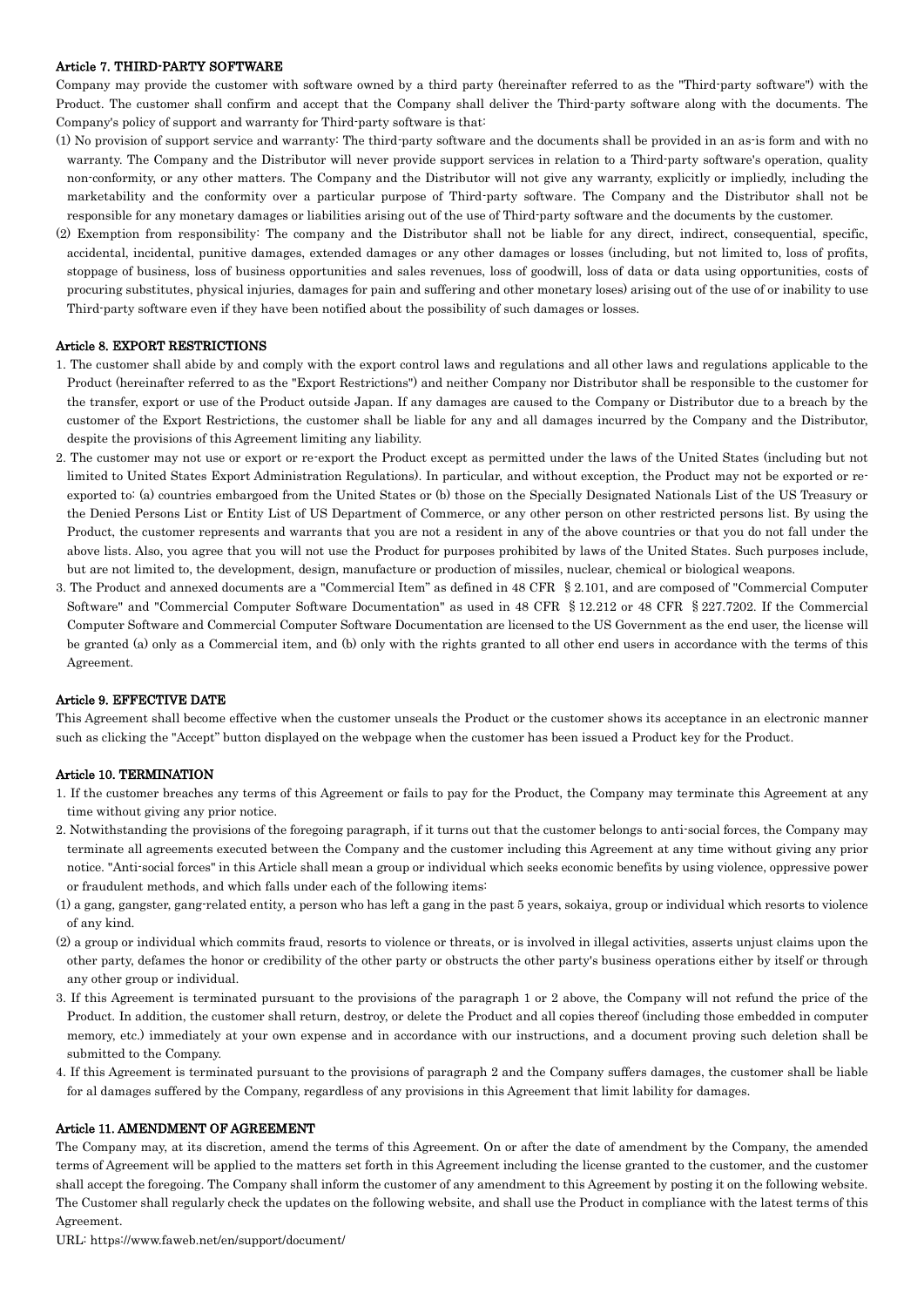## Article 7. THIRD-PARTY SOFTWARE

Company may provide the customer with software owned by a third party (hereinafter referred to as the "Third-party software") with the Product. The customer shall confirm and accept that the Company shall deliver the Third-party software along with the documents. The Company's policy of support and warranty for Third-party software is that:

- (1) No provision of support service and warranty: The third-party software and the documents shall be provided in an as-is form and with no warranty. The Company and the Distributor will never provide support services in relation to a Third-party software's operation, quality non-conformity, or any other matters. The Company and the Distributor will not give any warranty, explicitly or impliedly, including the marketability and the conformity over a particular purpose of Third-party software. The Company and the Distributor shall not be responsible for any monetary damages or liabilities arising out of the use of Third-party software and the documents by the customer.
- (2) Exemption from responsibility: The company and the Distributor shall not be liable for any direct, indirect, consequential, specific, accidental, incidental, punitive damages, extended damages or any other damages or losses (including, but not limited to, loss of profits, stoppage of business, loss of business opportunities and sales revenues, loss of goodwill, loss of data or data using opportunities, costs of procuring substitutes, physical injuries, damages for pain and suffering and other monetary loses) arising out of the use of or inability to use Third-party software even if they have been notified about the possibility of such damages or losses.

## Article 8. EXPORT RESTRICTIONS

- 1. The customer shall abide by and comply with the export control laws and regulations and all other laws and regulations applicable to the Product (hereinafter referred to as the "Export Restrictions") and neither Company nor Distributor shall be responsible to the customer for the transfer, export or use of the Product outside Japan. If any damages are caused to the Company or Distributor due to a breach by the customer of the Export Restrictions, the customer shall be liable for any and all damages incurred by the Company and the Distributor, despite the provisions of this Agreement limiting any liability.
- 2. The customer may not use or export or re-export the Product except as permitted under the laws of the United States (including but not limited to United States Export Administration Regulations). In particular, and without exception, the Product may not be exported or reexported to: (a) countries embargoed from the United States or (b) those on the Specially Designated Nationals List of the US Treasury or the Denied Persons List or Entity List of US Department of Commerce, or any other person on other restricted persons list. By using the Product, the customer represents and warrants that you are not a resident in any of the above countries or that you do not fall under the above lists. Also, you agree that you will not use the Product for purposes prohibited by laws of the United States. Such purposes include, but are not limited to, the development, design, manufacture or production of missiles, nuclear, chemical or biological weapons.
- 3. The Product and annexed documents are a "Commercial Item" as defined in 48 CFR §2.101, and are composed of "Commercial Computer Software" and "Commercial Computer Software Documentation" as used in 48 CFR §12.212 or 48 CFR §227.7202. If the Commercial Computer Software and Commercial Computer Software Documentation are licensed to the US Government as the end user, the license will be granted (a) only as a Commercial item, and (b) only with the rights granted to all other end users in accordance with the terms of this Agreement.

#### Article 9. EFFECTIVE DATE

This Agreement shall become effective when the customer unseals the Product or the customer shows its acceptance in an electronic manner such as clicking the "Accept" button displayed on the webpage when the customer has been issued a Product key for the Product.

#### Article 10. TERMINATION

- 1. If the customer breaches any terms of this Agreement or fails to pay for the Product, the Company may terminate this Agreement at any time without giving any prior notice.
- 2. Notwithstanding the provisions of the foregoing paragraph, if it turns out that the customer belongs to anti-social forces, the Company may terminate all agreements executed between the Company and the customer including this Agreement at any time without giving any prior notice. "Anti-social forces" in this Article shall mean a group or individual which seeks economic benefits by using violence, oppressive power or fraudulent methods, and which falls under each of the following items:
- (1) a gang, gangster, gang-related entity, a person who has left a gang in the past 5 years, sokaiya, group or individual which resorts to violence of any kind.
- (2) a group or individual which commits fraud, resorts to violence or threats, or is involved in illegal activities, asserts unjust claims upon the other party, defames the honor or credibility of the other party or obstructs the other party's business operations either by itself or through any other group or individual.
- 3. If this Agreement is terminated pursuant to the provisions of the paragraph 1 or 2 above, the Company will not refund the price of the Product. In addition, the customer shall return, destroy, or delete the Product and all copies thereof (including those embedded in computer memory, etc.) immediately at your own expense and in accordance with our instructions, and a document proving such deletion shall be submitted to the Company.
- 4. If this Agreement is terminated pursuant to the provisions of paragraph 2 and the Company suffers damages, the customer shall be liable for al damages suffered by the Company, regardless of any provisions in this Agreement that limit lability for damages.

### Article 11. AMENDMENT OF AGREEMENT

The Company may, at its discretion, amend the terms of this Agreement. On or after the date of amendment by the Company, the amended terms of Agreement will be applied to the matters set forth in this Agreement including the license granted to the customer, and the customer shall accept the foregoing. The Company shall inform the customer of any amendment to this Agreement by posting it on the following website. The Customer shall regularly check the updates on the following website, and shall use the Product in compliance with the latest terms of this Agreement.

URL: https://www.faweb.net/en/support/document/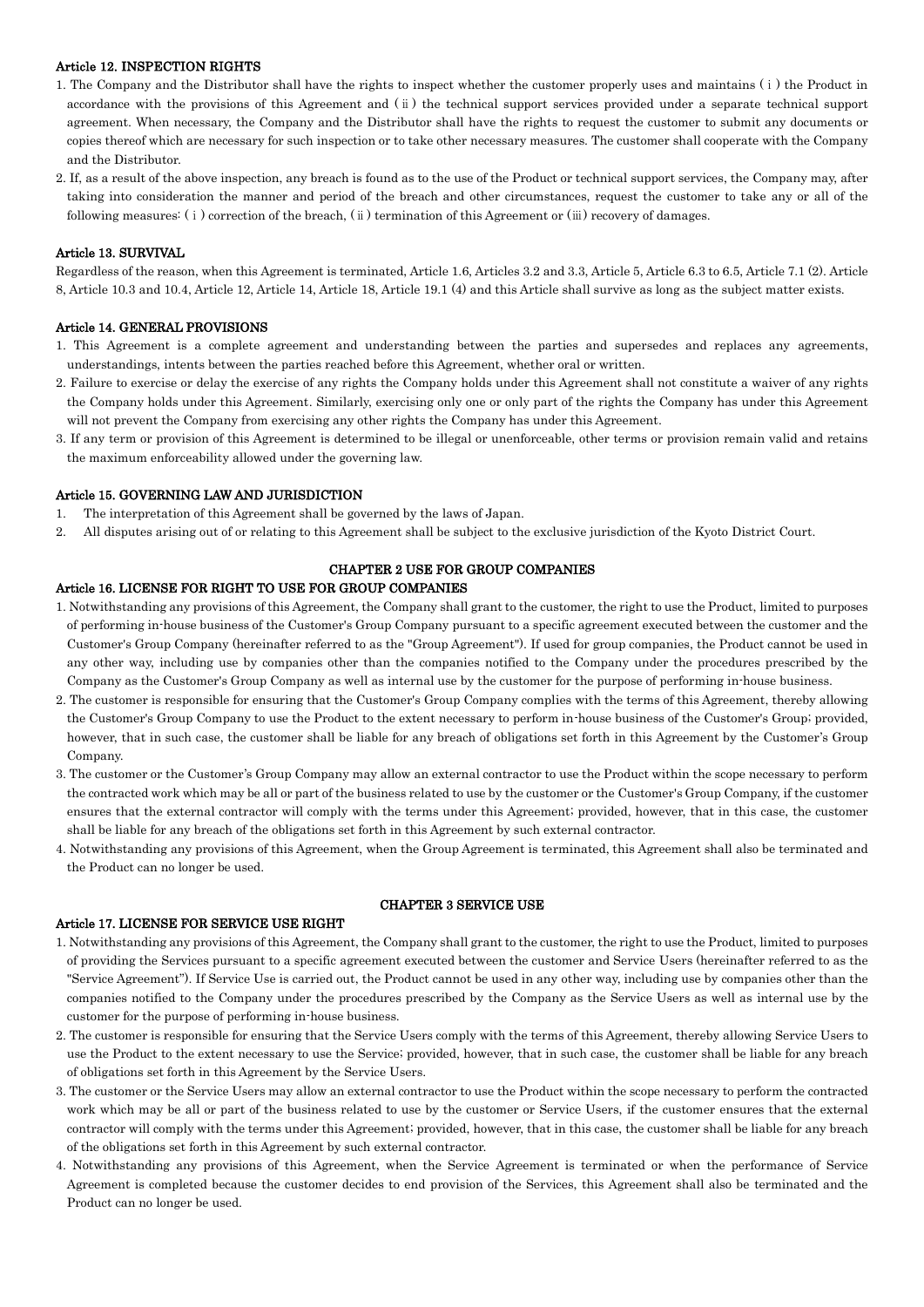# Article 12. INSPECTION RIGHTS

- 1. The Company and the Distributor shall have the rights to inspect whether the customer properly uses and maintains (ⅰ) the Product in accordance with the provisions of this Agreement and (ⅱ) the technical support services provided under a separate technical support agreement. When necessary, the Company and the Distributor shall have the rights to request the customer to submit any documents or copies thereof which are necessary for such inspection or to take other necessary measures. The customer shall cooperate with the Company and the Distributor.
- 2. If, as a result of the above inspection, any breach is found as to the use of the Product or technical support services, the Company may, after taking into consideration the manner and period of the breach and other circumstances, request the customer to take any or all of the following measures: (ⅰ) correction of the breach, (ⅱ) termination of this Agreement or (ⅲ) recovery of damages.

### Article 13. SURVIVAL

Regardless of the reason, when this Agreement is terminated, Article 1.6, Articles 3.2 and 3.3, Article 5, Article 6.3 to 6.5, Article 7.1 (2). Article 8, Article 10.3 and 10.4, Article 12, Article 14, Article 18, Article 19.1 (4) and this Article shall survive as long as the subject matter exists.

#### Article 14. GENERAL PROVISIONS

- 1. This Agreement is a complete agreement and understanding between the parties and supersedes and replaces any agreements, understandings, intents between the parties reached before this Agreement, whether oral or written.
- 2. Failure to exercise or delay the exercise of any rights the Company holds under this Agreement shall not constitute a waiver of any rights the Company holds under this Agreement. Similarly, exercising only one or only part of the rights the Company has under this Agreement will not prevent the Company from exercising any other rights the Company has under this Agreement.
- 3. If any term or provision of this Agreement is determined to be illegal or unenforceable, other terms or provision remain valid and retains the maximum enforceability allowed under the governing law.

#### Article 15. GOVERNING LAW AND JURISDICTION

- 1. The interpretation of this Agreement shall be governed by the laws of Japan.
- 2. All disputes arising out of or relating to this Agreement shall be subject to the exclusive jurisdiction of the Kyoto District Court.

### CHAPTER 2 USE FOR GROUP COMPANIES

## Article 16. LICENSE FOR RIGHT TO USE FOR GROUP COMPANIES

- 1. Notwithstanding any provisions of this Agreement, the Company shall grant to the customer, the right to use the Product, limited to purposes of performing in-house business of the Customer's Group Company pursuant to a specific agreement executed between the customer and the Customer's Group Company (hereinafter referred to as the "Group Agreement"). If used for group companies, the Product cannot be used in any other way, including use by companies other than the companies notified to the Company under the procedures prescribed by the Company as the Customer's Group Company as well as internal use by the customer for the purpose of performing in-house business.
- 2. The customer is responsible for ensuring that the Customer's Group Company complies with the terms of this Agreement, thereby allowing the Customer's Group Company to use the Product to the extent necessary to perform in-house business of the Customer's Group; provided, however, that in such case, the customer shall be liable for any breach of obligations set forth in this Agreement by the Customer's Group Company.
- 3. The customer or the Customer's Group Company may allow an external contractor to use the Product within the scope necessary to perform the contracted work which may be all or part of the business related to use by the customer or the Customer's Group Company, if the customer ensures that the external contractor will comply with the terms under this Agreement; provided, however, that in this case, the customer shall be liable for any breach of the obligations set forth in this Agreement by such external contractor.
- 4. Notwithstanding any provisions of this Agreement, when the Group Agreement is terminated, this Agreement shall also be terminated and the Product can no longer be used.

#### Article 17. LICENSE FOR SERVICE USE RIGHT

### CHAPTER 3 SERVICE USE

- 1. Notwithstanding any provisions of this Agreement, the Company shall grant to the customer, the right to use the Product, limited to purposes of providing the Services pursuant to a specific agreement executed between the customer and Service Users (hereinafter referred to as the "Service Agreement"). If Service Use is carried out, the Product cannot be used in any other way, including use by companies other than the companies notified to the Company under the procedures prescribed by the Company as the Service Users as well as internal use by the customer for the purpose of performing in-house business.
- 2. The customer is responsible for ensuring that the Service Users comply with the terms of this Agreement, thereby allowing Service Users to use the Product to the extent necessary to use the Service; provided, however, that in such case, the customer shall be liable for any breach of obligations set forth in this Agreement by the Service Users.
- 3. The customer or the Service Users may allow an external contractor to use the Product within the scope necessary to perform the contracted work which may be all or part of the business related to use by the customer or Service Users, if the customer ensures that the external contractor will comply with the terms under this Agreement; provided, however, that in this case, the customer shall be liable for any breach of the obligations set forth in this Agreement by such external contractor.
- 4. Notwithstanding any provisions of this Agreement, when the Service Agreement is terminated or when the performance of Service Agreement is completed because the customer decides to end provision of the Services, this Agreement shall also be terminated and the Product can no longer be used.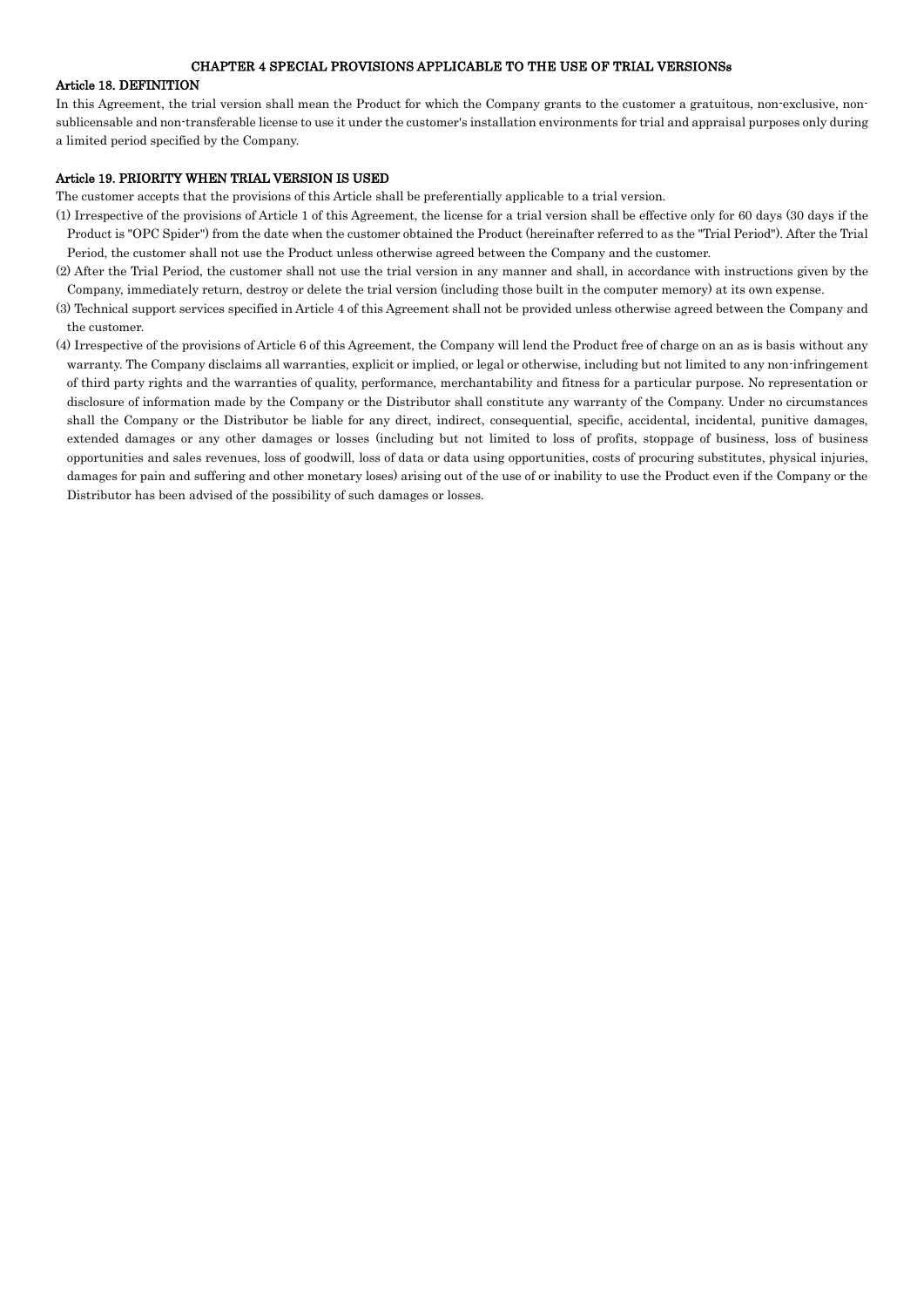### CHAPTER 4 SPECIAL PROVISIONS APPLICABLE TO THE USE OF TRIAL VERSIONSs

## Article 18. DEFINITION

In this Agreement, the trial version shall mean the Product for which the Company grants to the customer a gratuitous, non-exclusive, nonsublicensable and non-transferable license to use it under the customer's installation environments for trial and appraisal purposes only during a limited period specified by the Company.

#### Article 19. PRIORITY WHEN TRIAL VERSION IS USED

The customer accepts that the provisions of this Article shall be preferentially applicable to a trial version.

- (1) Irrespective of the provisions of Article 1 of this Agreement, the license for a trial version shall be effective only for 60 days (30 days if the Product is "OPC Spider") from the date when the customer obtained the Product (hereinafter referred to as the "Trial Period"). After the Trial Period, the customer shall not use the Product unless otherwise agreed between the Company and the customer.
- (2) After the Trial Period, the customer shall not use the trial version in any manner and shall, in accordance with instructions given by the Company, immediately return, destroy or delete the trial version (including those built in the computer memory) at its own expense.
- (3) Technical support services specified in Article 4 of this Agreement shall not be provided unless otherwise agreed between the Company and the customer.
- (4) Irrespective of the provisions of Article 6 of this Agreement, the Company will lend the Product free of charge on an as is basis without any warranty. The Company disclaims all warranties, explicit or implied, or legal or otherwise, including but not limited to any non-infringement of third party rights and the warranties of quality, performance, merchantability and fitness for a particular purpose. No representation or disclosure of information made by the Company or the Distributor shall constitute any warranty of the Company. Under no circumstances shall the Company or the Distributor be liable for any direct, indirect, consequential, specific, accidental, incidental, punitive damages, extended damages or any other damages or losses (including but not limited to loss of profits, stoppage of business, loss of business opportunities and sales revenues, loss of goodwill, loss of data or data using opportunities, costs of procuring substitutes, physical injuries, damages for pain and suffering and other monetary loses) arising out of the use of or inability to use the Product even if the Company or the Distributor has been advised of the possibility of such damages or losses.